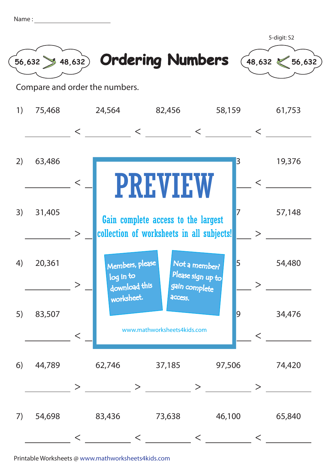| Name |  |
|------|--|
|      |  |
|      |  |









Compare and order the numbers.

| 1) | 75,468 |         | 24,564                                        | 82,456                                                                           | 58,159                                              |                | 61,753 |
|----|--------|---------|-----------------------------------------------|----------------------------------------------------------------------------------|-----------------------------------------------------|----------------|--------|
|    |        | $\lt$   |                                               | $\lt$                                                                            | $\lt$                                               | $\lt$          |        |
| 2) | 63,486 | $\lt$   |                                               | <b>PREVIEW</b>                                                                   |                                                     | 3              | 19,376 |
| 3) | 31,405 | $\geq$  |                                               | Gain complete access to the largest<br>collection of worksheets in all subjects! |                                                     |                | 57,148 |
| 4) | 20,361 |         | Members, please<br>log in to<br>download this |                                                                                  | Not a member?<br>Please sign up to<br>gain complete | 5              | 54,480 |
| 5) | 83,507 | $\,<\,$ | worksheet.                                    | access.<br>www.mathworksheets4kids.com                                           |                                                     | $\overline{9}$ | 34,476 |
| 6) | 44,789 |         | 62,746                                        |                                                                                  | 37,185 97,506                                       |                | 74,420 |
| 7) | 54,698 |         | 83,436                                        | 73,638                                                                           | 46,100                                              |                | 65,840 |

Printable Worksheets @ www.mathworksheets4kids.com